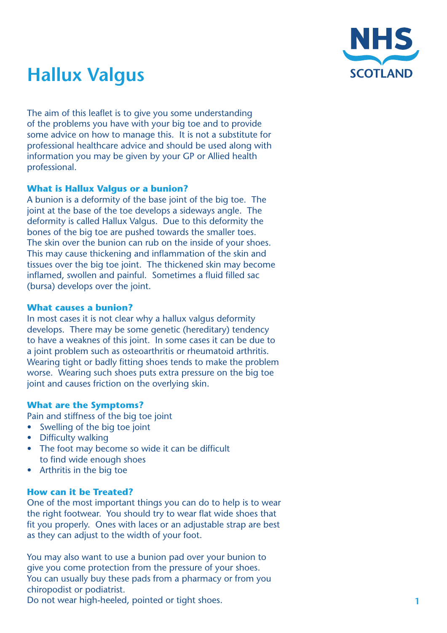

# **Hallux Valgus**

The aim of this leaflet is to give you some understanding of the problems you have with your big toe and to provide some advice on how to manage this. It is not a substitute for professional healthcare advice and should be used along with information you may be given by your GP or Allied health professional.

# **What is Hallux Valgus or a bunion?**

A bunion is a deformity of the base joint of the big toe. The joint at the base of the toe develops a sideways angle. The deformity is called Hallux Valgus. Due to this deformity the bones of the big toe are pushed towards the smaller toes. The skin over the bunion can rub on the inside of your shoes. This may cause thickening and inflammation of the skin and tissues over the big toe joint. The thickened skin may become inflamed, swollen and painful. Sometimes a fluid filled sac (bursa) develops over the joint.

# **What causes a bunion?**

In most cases it is not clear why a hallux valgus deformity develops. There may be some genetic (hereditary) tendency to have a weaknes of this joint. In some cases it can be due to a joint problem such as osteoarthritis or rheumatoid arthritis. Wearing tight or badly fitting shoes tends to make the problem worse. Wearing such shoes puts extra pressure on the big toe joint and causes friction on the overlying skin.

# **What are the Symptoms?**

Pain and stiffness of the big toe joint

- Swelling of the big toe joint
- Difficulty walking
- The foot may become so wide it can be difficult to find wide enough shoes
- **Arthritis in the big toe**

#### **How can it be Treated?**

One of the most important things you can do to help is to wear the right footwear. You should try to wear flat wide shoes that fit you properly. Ones with laces or an adjustable strap are best as they can adjust to the width of your foot.

You may also want to use a bunion pad over your bunion to give you come protection from the pressure of your shoes. You can usually buy these pads from a pharmacy or from you chiropodist or podiatrist.

Do not wear high-heeled, pointed or tight shoes.